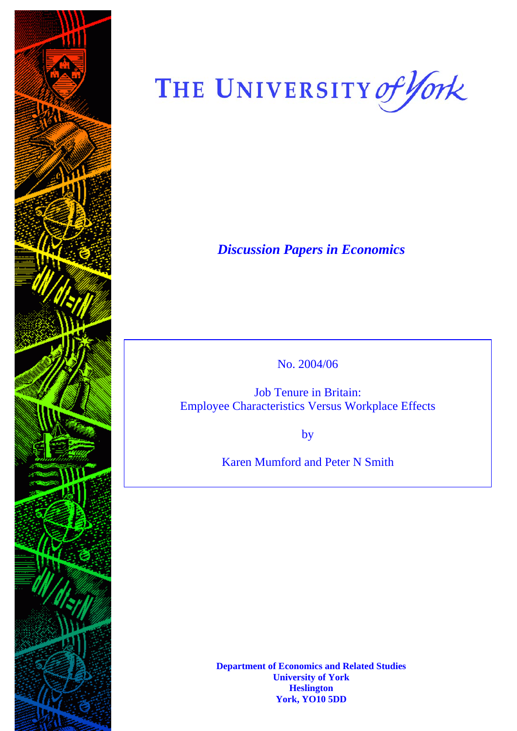

# THE UNIVERSITY of York

*Discussion Papers in Economics* 

No. 2004/06

Job Tenure in Britain: **Employee Characteristics Versus Workplace Effects** 

 $by<sub>1</sub>$ 

Karen Mumford and Peter N Smith

**Department of Economics and Related Studies University of York Heslington York, YO10 5DD**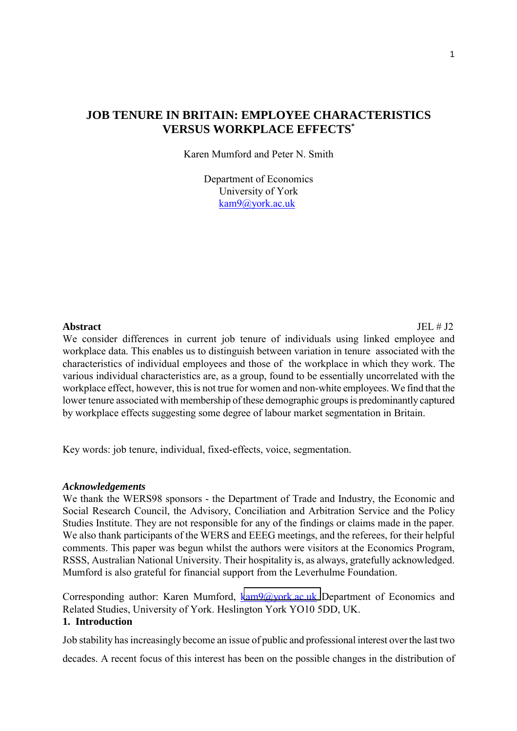# **JOB TENURE IN BRITAIN: EMPLOYEE CHARACTERISTICS VERSUS WORKPLACE EFFECTS\***

Karen Mumford and Peter N. Smith

 Department of Economics University of York kam9@york.ac.uk

**Abstract** JEL # J2

We consider differences in current job tenure of individuals using linked employee and workplace data. This enables us to distinguish between variation in tenure associated with the characteristics of individual employees and those of the workplace in which they work. The various individual characteristics are, as a group, found to be essentially uncorrelated with the workplace effect, however, this is not true for women and non-white employees. We find that the lower tenure associated with membership of these demographic groups is predominantly captured by workplace effects suggesting some degree of labour market segmentation in Britain.

Key words: job tenure, individual, fixed-effects, voice, segmentation.

#### *Acknowledgements*

We thank the WERS98 sponsors - the Department of Trade and Industry, the Economic and Social Research Council, the Advisory, Conciliation and Arbitration Service and the Policy Studies Institute. They are not responsible for any of the findings or claims made in the paper*.*  We also thank participants of the WERS and EEEG meetings, and the referees, for their helpful comments. This paper was begun whilst the authors were visitors at the Economics Program, RSSS, Australian National University. Their hospitality is, as always, gratefully acknowledged. Mumford is also grateful for financial support from the Leverhulme Foundation.

Corresponding author: Karen Mumford, [kam9@york.ac.uk](mailto:kam9@york.ac.uk) Department of Economics and Related Studies, University of York. Heslington York YO10 5DD, UK.

# **1. Introduction**

Job stability has increasingly become an issue of public and professional interest over the last two

decades. A recent focus of this interest has been on the possible changes in the distribution of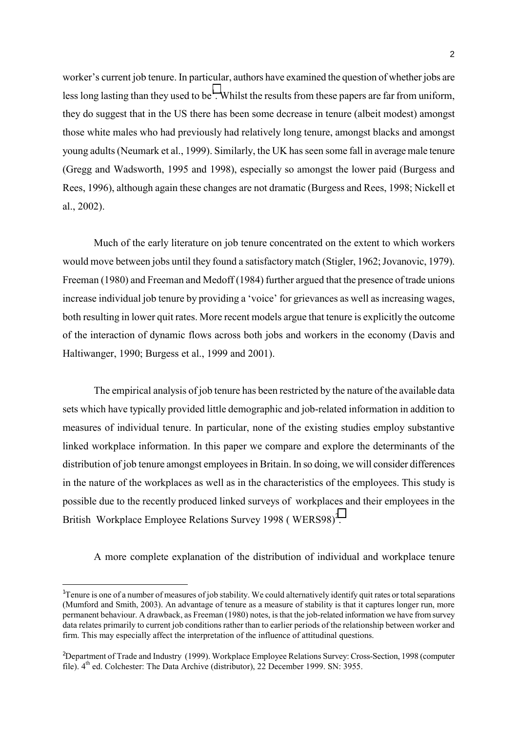worker's current job tenure. In particular, authors have examined the question of whether jobs are less long lasting than they used to be<sup>1</sup>. Whilst the results from these papers are far from uniform, they do suggest that in the US there has been some decrease in tenure (albeit modest) amongst those white males who had previously had relatively long tenure, amongst blacks and amongst young adults (Neumark et al., 1999). Similarly, the UK has seen some fall in average male tenure (Gregg and Wadsworth, 1995 and 1998), especially so amongst the lower paid (Burgess and Rees, 1996), although again these changes are not dramatic (Burgess and Rees, 1998; Nickell et al., 2002).

Much of the early literature on job tenure concentrated on the extent to which workers would move between jobs until they found a satisfactory match (Stigler, 1962; Jovanovic, 1979). Freeman (1980) and Freeman and Medoff (1984) further argued that the presence of trade unions increase individual job tenure by providing a 'voice' for grievances as well as increasing wages, both resulting in lower quit rates. More recent models argue that tenure is explicitly the outcome of the interaction of dynamic flows across both jobs and workers in the economy (Davis and Haltiwanger, 1990; Burgess et al., 1999 and 2001).

The empirical analysis of job tenure has been restricted by the nature of the available data sets which have typically provided little demographic and job-related information in addition to measures of individual tenure. In particular, none of the existing studies employ substantive linked workplace information. In this paper we compare and explore the determinants of the distribution of job tenure amongst employees in Britain. In so doing, we will consider differences in the nature of the workplaces as well as in the characteristics of the employees. This study is possible due to the recently produced linked surveys of workplaces and their employees in the British Workplace Employee Relations Survey 1998 (WERS98)<sup>2</sup>.

A more complete explanation of the distribution of individual and workplace tenure

<sup>&</sup>lt;sup>1</sup>Tenure is one of a number of measures of job stability. We could alternatively identify quit rates or total separations (Mumford and Smith, 2003). An advantage of tenure as a measure of stability is that it captures longer run, more permanent behaviour. A drawback, as Freeman (1980) notes, is that the job-related information we have from survey data relates primarily to current job conditions rather than to earlier periods of the relationship between worker and firm. This may especially affect the interpretation of the influence of attitudinal questions.

<sup>2</sup> Department of Trade and Industry (1999). Workplace Employee Relations Survey: Cross-Section, 1998 (computer file).  $4<sup>th</sup>$  ed. Colchester: The Data Archive (distributor), 22 December 1999. SN: 3955.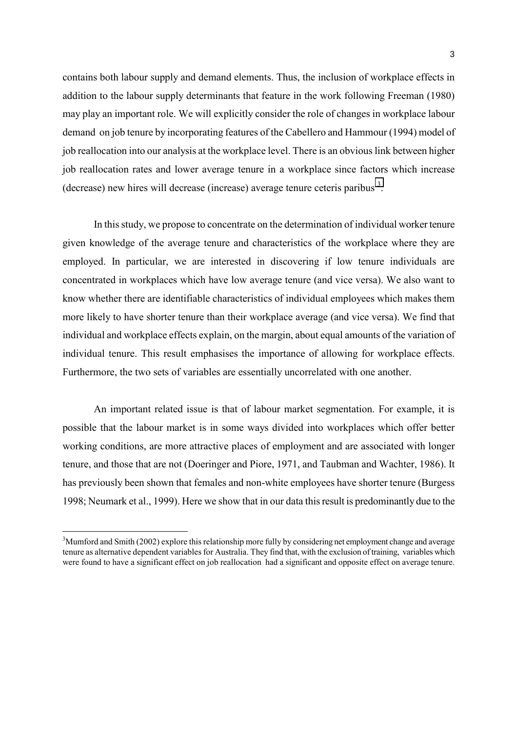contains both labour supply and demand elements. Thus, the inclusion of workplace effects in addition to the labour supply determinants that feature in the work following Freeman (1980) may play an important role. We will explicitly consider the role of changes in workplace labour demand on job tenure by incorporating features of the Cabellero and Hammour (1994) model of job reallocation into our analysis at the workplace level. There is an obvious link between higher job reallocation rates and lower average tenure in a workplace since factors which increase (decrease) new hires will decrease (increase) average tenure ceteris paribus  $3$ .

In this study, we propose to concentrate on the determination of individual worker tenure given knowledge of the average tenure and characteristics of the workplace where they are employed. In particular, we are interested in discovering if low tenure individuals are concentrated in workplaces which have low average tenure (and vice versa). We also want to know whether there are identifiable characteristics of individual employees which makes them more likely to have shorter tenure than their workplace average (and vice versa). We find that individual and workplace effects explain, on the margin, about equal amounts of the variation of individual tenure. This result emphasises the importance of allowing for workplace effects. Furthermore, the two sets of variables are essentially uncorrelated with one another.

An important related issue is that of labour market segmentation. For example, it is possible that the labour market is in some ways divided into workplaces which offer better working conditions, are more attractive places of employment and are associated with longer tenure, and those that are not (Doeringer and Piore, 1971, and Taubman and Wachter, 1986). It has previously been shown that females and non-white employees have shorter tenure (Burgess 1998; Neumark et al., 1999). Here we show that in our data this result is predominantly due to the

 $3$ Mumford and Smith (2002) explore this relationship more fully by considering net employment change and average tenure as alternative dependent variables for Australia. They find that, with the exclusion of training, variables which were found to have a significant effect on job reallocation had a significant and opposite effect on average tenure.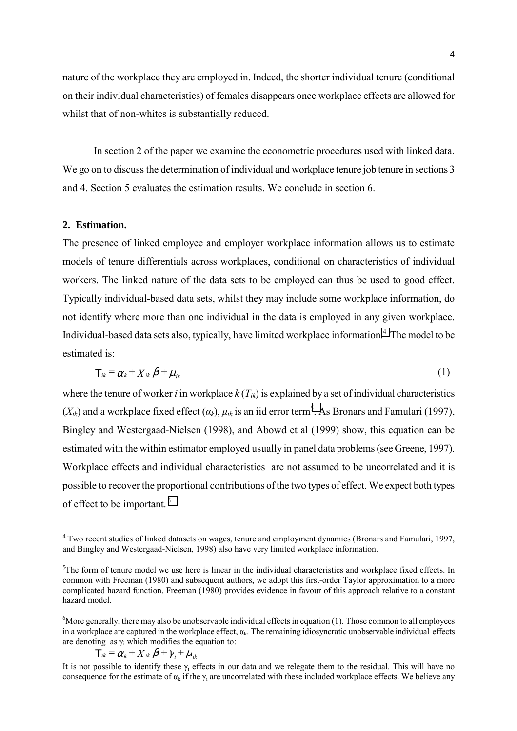nature of the workplace they are employed in. Indeed, the shorter individual tenure (conditional on their individual characteristics) of females disappears once workplace effects are allowed for whilst that of non-whites is substantially reduced.

In section 2 of the paper we examine the econometric procedures used with linked data. We go on to discuss the determination of individual and workplace tenure job tenure in sections 3 and 4. Section 5 evaluates the estimation results. We conclude in section 6.

### **2. Estimation.**

i

The presence of linked employee and employer workplace information allows us to estimate models of tenure differentials across workplaces, conditional on characteristics of individual workers. The linked nature of the data sets to be employed can thus be used to good effect. Typically individual-based data sets, whilst they may include some workplace information, do not identify where more than one individual in the data is employed in any given workplace. Individual-based data sets also, typically, have limited workplace information.<sup>4</sup> The model to be estimated is:

$$
T_{ik} = \alpha_k + X_{ik} \beta + \mu_{ik} \tag{1}
$$

where the tenure of worker *i* in workplace  $k(T_{ik})$  is explained by a set of individual characteristics  $(X_{ik})$  and a workplace fixed effect  $(\alpha_k)$ ,  $\mu_{ik}$  is an iid error term<sup>5</sup>. As Bronars and Famulari (1997), Bingley and Westergaad-Nielsen (1998), and Abowd et al (1999) show, this equation can be estimated with the within estimator employed usually in panel data problems (see Greene, 1997). Workplace effects and individual characteristics are not assumed to be uncorrelated and it is possible to recover the proportional contributions of the two types of effect. We expect both types of effect to be important. 6

$$
T_{ik} = \alpha_k + X_{ik} \beta + \gamma_i + \mu_{ik}
$$

<sup>&</sup>lt;sup>4</sup> Two recent studies of linked datasets on wages, tenure and employment dynamics (Bronars and Famulari, 1997, and Bingley and Westergaad-Nielsen, 1998) also have very limited workplace information.

<sup>&</sup>lt;sup>5</sup>The form of tenure model we use here is linear in the individual characteristics and workplace fixed effects. In common with Freeman (1980) and subsequent authors, we adopt this first-order Taylor approximation to a more complicated hazard function. Freeman (1980) provides evidence in favour of this approach relative to a constant hazard model.

 ${}^{6}$ More generally, there may also be unobservable individual effects in equation (1). Those common to all employees in a workplace are captured in the workplace effect,  $\alpha_k$ . The remaining idiosyncratic unobservable individual effects are denoting as  $\gamma_i$  which modifies the equation to:

It is not possible to identify these  $\gamma_i$  effects in our data and we relegate them to the residual. This will have no consequence for the estimate of  $\alpha_k$  if the  $\gamma_i$  are uncorrelated with these included workplace effects. We believe any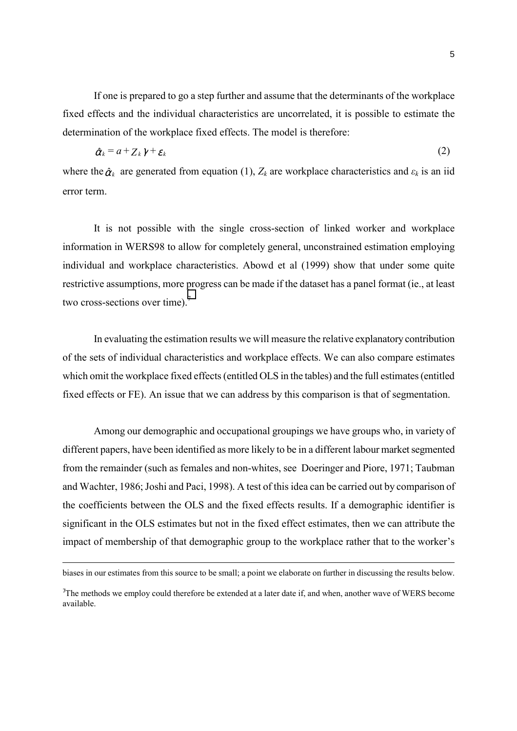If one is prepared to go a step further and assume that the determinants of the workplace fixed effects and the individual characteristics are uncorrelated, it is possible to estimate the determination of the workplace fixed effects. The model is therefore:

$$
\hat{\alpha}_k = a + \sum_k \gamma + \varepsilon_k \tag{2}
$$

where the  $\hat{\alpha}_k$  are generated from equation (1),  $Z_k$  are workplace characteristics and  $\varepsilon_k$  is an iid error term.

It is not possible with the single cross-section of linked worker and workplace information in WERS98 to allow for completely general, unconstrained estimation employing individual and workplace characteristics. Abowd et al (1999) show that under some quite restrictive assumptions, more progress can be made if the dataset has a panel format (ie., at least two cross-sections over time).<sup>7</sup>

In evaluating the estimation results we will measure the relative explanatory contribution of the sets of individual characteristics and workplace effects. We can also compare estimates which omit the workplace fixed effects (entitled OLS in the tables) and the full estimates (entitled fixed effects or FE). An issue that we can address by this comparison is that of segmentation.

Among our demographic and occupational groupings we have groups who, in variety of different papers, have been identified as more likely to be in a different labour market segmented from the remainder (such as females and non-whites, see Doeringer and Piore, 1971; Taubman and Wachter, 1986; Joshi and Paci, 1998). A test of this idea can be carried out by comparison of the coefficients between the OLS and the fixed effects results. If a demographic identifier is significant in the OLS estimates but not in the fixed effect estimates, then we can attribute the impact of membership of that demographic group to the workplace rather that to the worker's

biases in our estimates from this source to be small; a point we elaborate on further in discussing the results below.

<sup>7</sup> The methods we employ could therefore be extended at a later date if, and when, another wave of WERS become available.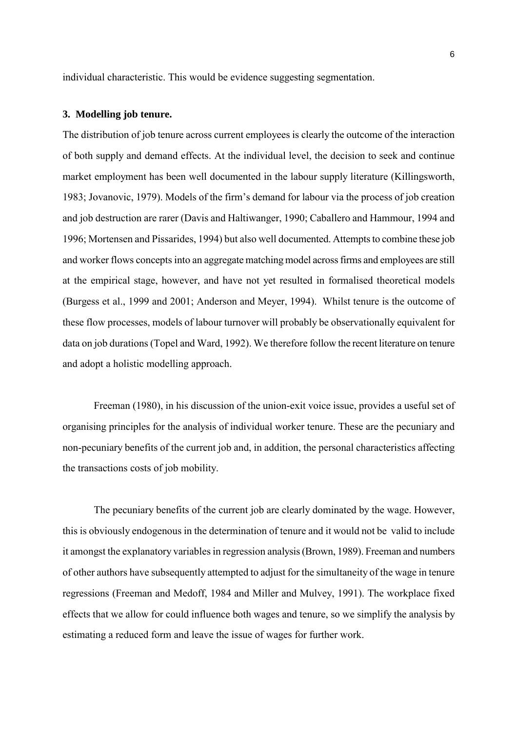individual characteristic. This would be evidence suggesting segmentation.

#### **3. Modelling job tenure.**

The distribution of job tenure across current employees is clearly the outcome of the interaction of both supply and demand effects. At the individual level, the decision to seek and continue market employment has been well documented in the labour supply literature (Killingsworth, 1983; Jovanovic, 1979). Models of the firm's demand for labour via the process of job creation and job destruction are rarer (Davis and Haltiwanger, 1990; Caballero and Hammour, 1994 and 1996; Mortensen and Pissarides, 1994) but also well documented. Attempts to combine these job and worker flows concepts into an aggregate matching model across firms and employees are still at the empirical stage, however, and have not yet resulted in formalised theoretical models (Burgess et al., 1999 and 2001; Anderson and Meyer, 1994). Whilst tenure is the outcome of these flow processes, models of labour turnover will probably be observationally equivalent for data on job durations (Topel and Ward, 1992). We therefore follow the recent literature on tenure and adopt a holistic modelling approach.

Freeman (1980), in his discussion of the union-exit voice issue, provides a useful set of organising principles for the analysis of individual worker tenure. These are the pecuniary and non-pecuniary benefits of the current job and, in addition, the personal characteristics affecting the transactions costs of job mobility.

The pecuniary benefits of the current job are clearly dominated by the wage. However, this is obviously endogenous in the determination of tenure and it would not be valid to include it amongst the explanatory variables in regression analysis (Brown, 1989). Freeman and numbers of other authors have subsequently attempted to adjust for the simultaneity of the wage in tenure regressions (Freeman and Medoff, 1984 and Miller and Mulvey, 1991). The workplace fixed effects that we allow for could influence both wages and tenure, so we simplify the analysis by estimating a reduced form and leave the issue of wages for further work.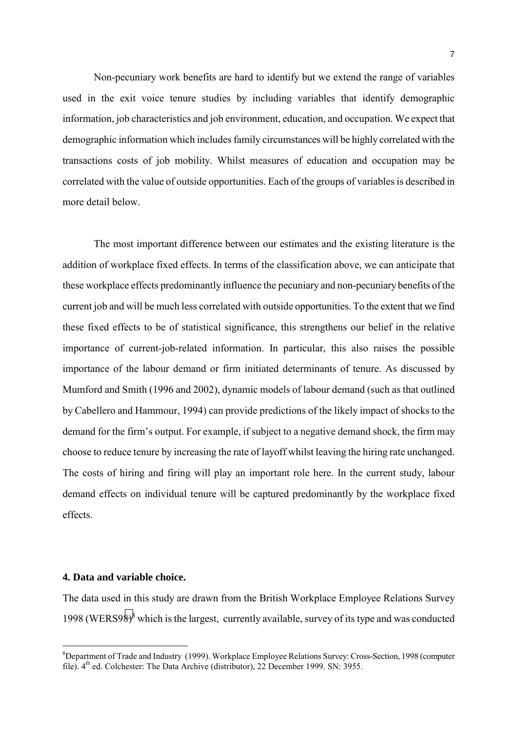Non-pecuniary work benefits are hard to identify but we extend the range of variables used in the exit voice tenure studies by including variables that identify demographic information, job characteristics and job environment, education, and occupation. We expect that demographic information which includes family circumstances will be highly correlated with the transactions costs of job mobility. Whilst measures of education and occupation may be correlated with the value of outside opportunities. Each of the groups of variables is described in more detail below.

The most important difference between our estimates and the existing literature is the addition of workplace fixed effects. In terms of the classification above, we can anticipate that these workplace effects predominantly influence the pecuniary and non-pecuniary benefits of the current job and will be much less correlated with outside opportunities. To the extent that we find these fixed effects to be of statistical significance, this strengthens our belief in the relative importance of current-job-related information. In particular, this also raises the possible importance of the labour demand or firm initiated determinants of tenure. As discussed by Mumford and Smith (1996 and 2002), dynamic models of labour demand (such as that outlined by Cabellero and Hammour, 1994) can provide predictions of the likely impact of shocks to the demand for the firm's output. For example, if subject to a negative demand shock, the firm may choose to reduce tenure by increasing the rate of layoff whilst leaving the hiring rate unchanged. The costs of hiring and firing will play an important role here. In the current study, labour demand effects on individual tenure will be captured predominantly by the workplace fixed effects.

#### **4. Data and variable choice.**

The data used in this study are drawn from the British Workplace Employee Relations Survey 1998 (WERS98)<sup>8</sup> which is the largest, currently available, survey of its type and was conducted

<sup>&</sup>lt;sup>8</sup>Department of Trade and Industry (1999). Workplace Employee Relations Survey: Cross-Section, 1998 (computer file).  $4<sup>th</sup>$  ed. Colchester: The Data Archive (distributor), 22 December 1999. SN: 3955.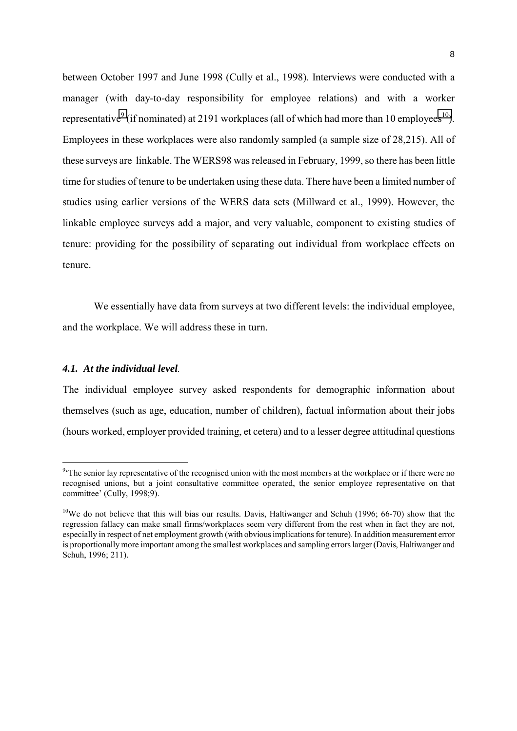between October 1997 and June 1998 (Cully et al., 1998). Interviews were conducted with a manager (with day-to-day responsibility for employee relations) and with a worker representative<sup>9</sup> (if nominated) at 2191 workplaces (all of which had more than 10 employees<sup>10</sup>). Employees in these workplaces were also randomly sampled (a sample size of 28,215). All of these surveys are linkable. The WERS98 was released in February, 1999, so there has been little time for studies of tenure to be undertaken using these data. There have been a limited number of studies using earlier versions of the WERS data sets (Millward et al., 1999). However, the linkable employee surveys add a major, and very valuable, component to existing studies of tenure: providing for the possibility of separating out individual from workplace effects on tenure.

We essentially have data from surveys at two different levels: the individual employee, and the workplace. We will address these in turn.

#### *4.1. At the individual level.*

The individual employee survey asked respondents for demographic information about themselves (such as age, education, number of children), factual information about their jobs (hours worked, employer provided training, et cetera) and to a lesser degree attitudinal questions

<sup>&</sup>lt;sup>9</sup> The senior lay representative of the recognised union with the most members at the workplace or if there were no recognised unions, but a joint consultative committee operated, the senior employee representative on that committee' (Cully, 1998;9).

<sup>&</sup>lt;sup>10</sup>We do not believe that this will bias our results. Davis, Haltiwanger and Schuh (1996; 66-70) show that the regression fallacy can make small firms/workplaces seem very different from the rest when in fact they are not, especially in respect of net employment growth (with obvious implications for tenure). In addition measurement error is proportionally more important among the smallest workplaces and sampling errors larger (Davis, Haltiwanger and Schuh, 1996; 211).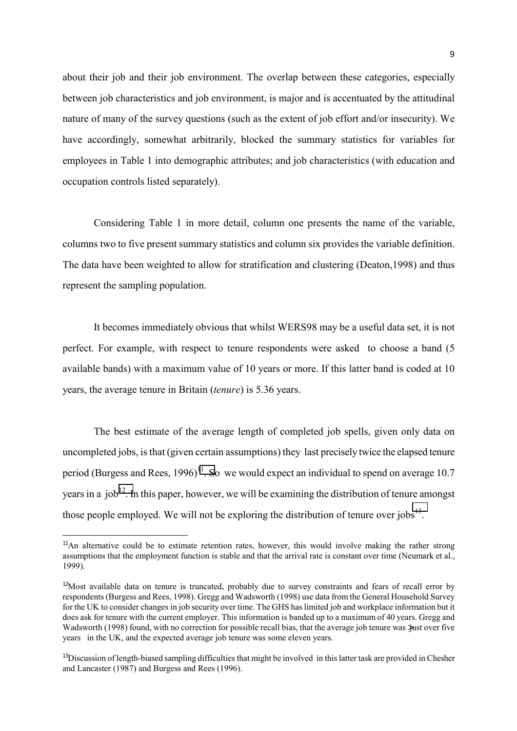about their job and their job environment. The overlap between these categories, especially between job characteristics and job environment, is major and is accentuated by the attitudinal nature of many of the survey questions (such as the extent of job effort and/or insecurity). We have accordingly, somewhat arbitrarily, blocked the summary statistics for variables for employees in Table 1 into demographic attributes; and job characteristics (with education and occupation controls listed separately).

Considering Table 1 in more detail, column one presents the name of the variable, columns two to five present summary statistics and column six provides the variable definition. The data have been weighted to allow for stratification and clustering (Deaton,1998) and thus represent the sampling population.

It becomes immediately obvious that whilst WERS98 may be a useful data set, it is not perfect. For example, with respect to tenure respondents were asked to choose a band (5 available bands) with a maximum value of 10 years or more. If this latter band is coded at 10 years, the average tenure in Britain (*tenure*) is 5.36 years.

The best estimate of the average length of completed job spells, given only data on uncompleted jobs, is that (given certain assumptions) they last precisely twice the elapsed tenure period (Burgess and Rees, 1996)<sup>11</sup>. So we would expect an individual to spend on average 10.7 years in a job<sup>12</sup>. In this paper, however, we will be examining the distribution of tenure amongst those people employed. We will not be exploring the distribution of tenure over  $i_{\text{obs}}^{13}$ .

<sup>&</sup>lt;sup>11</sup>An alternative could be to estimate retention rates, however, this would involve making the rather strong assumptions that the employment function is stable and that the arrival rate is constant over time (Neumark et al., 1999).

<sup>&</sup>lt;sup>12</sup>Most available data on tenure is truncated, probably due to survey constraints and fears of recall error by respondents (Burgess and Rees, 1998). Gregg and Wadsworth (1998) use data from the General Household Survey for the UK to consider changes in job security over time. The GHS has limited job and workplace information but it does ask for tenure with the current employer. This information is banded up to a maximum of 40 years. Gregg and Wadsworth (1998) found, with no correction for possible recall bias, that the average job tenure was yust over five years in the UK, and the expected average job tenure was some eleven years.

<sup>&</sup>lt;sup>13</sup>Discussion of length-biased sampling difficulties that might be involved in this latter task are provided in Chesher and Lancaster (1987) and Burgess and Rees (1996).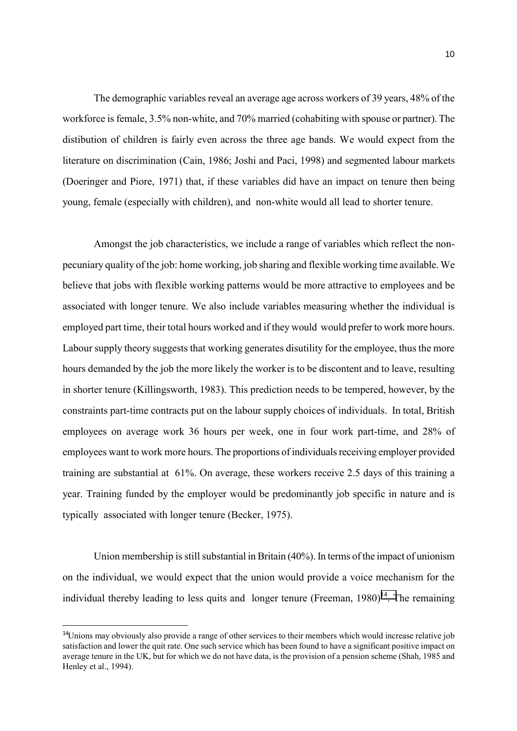The demographic variables reveal an average age across workers of 39 years, 48% of the workforce is female, 3.5% non-white, and 70% married (cohabiting with spouse or partner). The distibution of children is fairly even across the three age bands. We would expect from the literature on discrimination (Cain, 1986; Joshi and Paci, 1998) and segmented labour markets (Doeringer and Piore, 1971) that, if these variables did have an impact on tenure then being young, female (especially with children), and non-white would all lead to shorter tenure.

Amongst the job characteristics, we include a range of variables which reflect the nonpecuniary quality of the job: home working, job sharing and flexible working time available. We believe that jobs with flexible working patterns would be more attractive to employees and be associated with longer tenure. We also include variables measuring whether the individual is employed part time, their total hours worked and if they would would prefer to work more hours. Labour supply theory suggests that working generates disutility for the employee, thus the more hours demanded by the job the more likely the worker is to be discontent and to leave, resulting in shorter tenure (Killingsworth, 1983). This prediction needs to be tempered, however, by the constraints part-time contracts put on the labour supply choices of individuals. In total, British employees on average work 36 hours per week, one in four work part-time, and 28% of employees want to work more hours. The proportions of individuals receiving employer provided training are substantial at 61%. On average, these workers receive 2.5 days of this training a year. Training funded by the employer would be predominantly job specific in nature and is typically associated with longer tenure (Becker, 1975).

Union membership is still substantial in Britain (40%). In terms of the impact of unionism on the individual, we would expect that the union would provide a voice mechanism for the individual thereby leading to less quits and longer tenure (Freeman,  $1980$ )<sup>14</sup>. The remaining

 $14$ Unions may obviously also provide a range of other services to their members which would increase relative job satisfaction and lower the quit rate. One such service which has been found to have a significant positive impact on average tenure in the UK, but for which we do not have data, is the provision of a pension scheme (Shah, 1985 and Henley et al., 1994).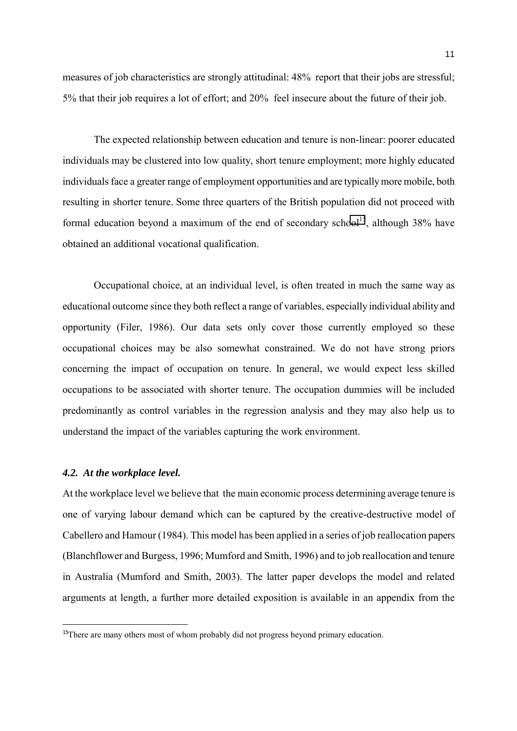measures of job characteristics are strongly attitudinal: 48% report that their jobs are stressful; 5% that their job requires a lot of effort; and 20% feel insecure about the future of their job.

The expected relationship between education and tenure is non-linear: poorer educated individuals may be clustered into low quality, short tenure employment; more highly educated individuals face a greater range of employment opportunities and are typically more mobile, both resulting in shorter tenure. Some three quarters of the British population did not proceed with formal education beyond a maximum of the end of secondary school<sup>15</sup>, although 38% have obtained an additional vocational qualification.

Occupational choice, at an individual level, is often treated in much the same way as educational outcome since they both reflect a range of variables, especially individual ability and opportunity (Filer, 1986). Our data sets only cover those currently employed so these occupational choices may be also somewhat constrained. We do not have strong priors concerning the impact of occupation on tenure. In general, we would expect less skilled occupations to be associated with shorter tenure. The occupation dummies will be included predominantly as control variables in the regression analysis and they may also help us to understand the impact of the variables capturing the work environment.

### *4.2. At the workplace level.*

i

At the workplace level we believe that the main economic process determining average tenure is one of varying labour demand which can be captured by the creative-destructive model of Cabellero and Hamour (1984). This model has been applied in a series of job reallocation papers (Blanchflower and Burgess, 1996; Mumford and Smith, 1996) and to job reallocation and tenure in Australia (Mumford and Smith, 2003). The latter paper develops the model and related arguments at length, a further more detailed exposition is available in an appendix from the

<sup>&</sup>lt;sup>15</sup>There are many others most of whom probably did not progress beyond primary education.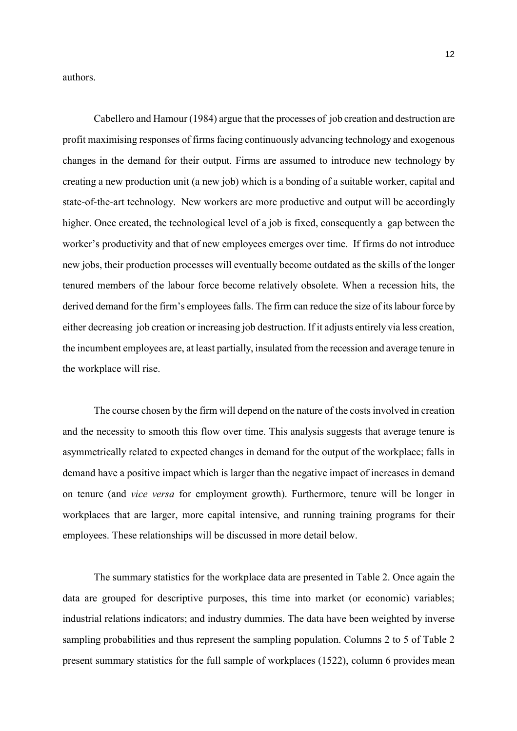authors.

Cabellero and Hamour (1984) argue that the processes of job creation and destruction are profit maximising responses of firms facing continuously advancing technology and exogenous changes in the demand for their output. Firms are assumed to introduce new technology by creating a new production unit (a new job) which is a bonding of a suitable worker, capital and state-of-the-art technology. New workers are more productive and output will be accordingly higher. Once created, the technological level of a job is fixed, consequently a gap between the worker's productivity and that of new employees emerges over time. If firms do not introduce new jobs, their production processes will eventually become outdated as the skills of the longer tenured members of the labour force become relatively obsolete. When a recession hits, the derived demand for the firm's employees falls. The firm can reduce the size of its labour force by either decreasing job creation or increasing job destruction. If it adjusts entirely via less creation, the incumbent employees are, at least partially, insulated from the recession and average tenure in the workplace will rise.

The course chosen by the firm will depend on the nature of the costs involved in creation and the necessity to smooth this flow over time. This analysis suggests that average tenure is asymmetrically related to expected changes in demand for the output of the workplace; falls in demand have a positive impact which is larger than the negative impact of increases in demand on tenure (and *vice versa* for employment growth). Furthermore, tenure will be longer in workplaces that are larger, more capital intensive, and running training programs for their employees. These relationships will be discussed in more detail below.

The summary statistics for the workplace data are presented in Table 2. Once again the data are grouped for descriptive purposes, this time into market (or economic) variables; industrial relations indicators; and industry dummies. The data have been weighted by inverse sampling probabilities and thus represent the sampling population. Columns 2 to 5 of Table 2 present summary statistics for the full sample of workplaces (1522), column 6 provides mean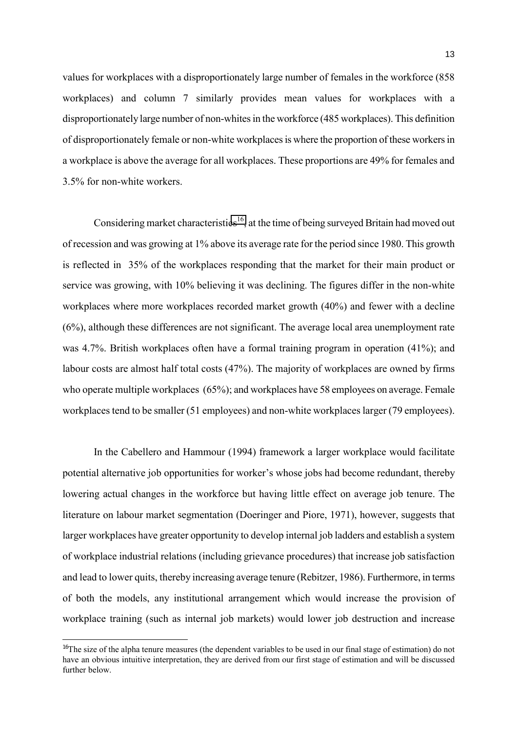values for workplaces with a disproportionately large number of females in the workforce (858 workplaces) and column 7 similarly provides mean values for workplaces with a disproportionately large number of non-whites in the workforce (485 workplaces). This definition of disproportionately female or non-white workplaces is where the proportion of these workers in a workplace is above the average for all workplaces. These proportions are 49% for females and 3.5% for non-white workers.

Considering market characteristics<sup>16</sup>, at the time of being surveyed Britain had moved out of recession and was growing at 1% above its average rate for the period since 1980. This growth is reflected in 35% of the workplaces responding that the market for their main product or service was growing, with 10% believing it was declining. The figures differ in the non-white workplaces where more workplaces recorded market growth (40%) and fewer with a decline (6%), although these differences are not significant. The average local area unemployment rate was 4.7%. British workplaces often have a formal training program in operation (41%); and labour costs are almost half total costs (47%). The majority of workplaces are owned by firms who operate multiple workplaces (65%); and workplaces have 58 employees on average. Female workplaces tend to be smaller (51 employees) and non-white workplaces larger (79 employees).

In the Cabellero and Hammour (1994) framework a larger workplace would facilitate potential alternative job opportunities for worker's whose jobs had become redundant, thereby lowering actual changes in the workforce but having little effect on average job tenure. The literature on labour market segmentation (Doeringer and Piore, 1971), however, suggests that larger workplaces have greater opportunity to develop internal job ladders and establish a system of workplace industrial relations (including grievance procedures) that increase job satisfaction and lead to lower quits, thereby increasing average tenure (Rebitzer, 1986). Furthermore, in terms of both the models, any institutional arrangement which would increase the provision of workplace training (such as internal job markets) would lower job destruction and increase

<sup>&</sup>lt;sup>16</sup>The size of the alpha tenure measures (the dependent variables to be used in our final stage of estimation) do not have an obvious intuitive interpretation, they are derived from our first stage of estimation and will be discussed further below.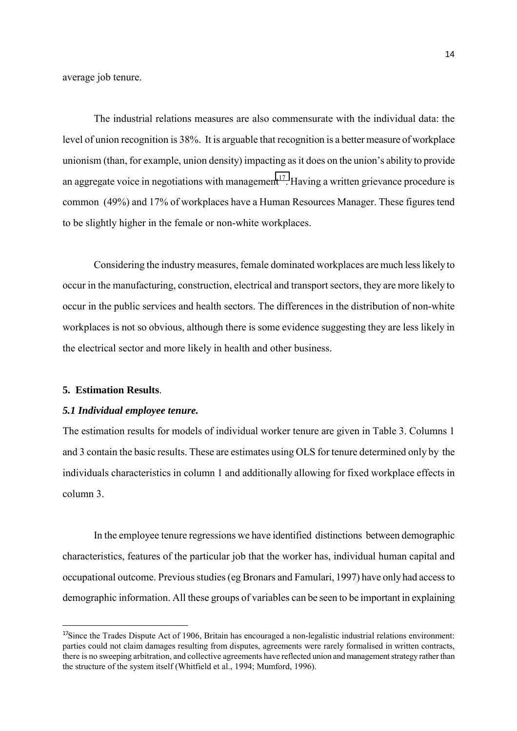average job tenure.

The industrial relations measures are also commensurate with the individual data: the level of union recognition is 38%. It is arguable that recognition is a better measure of workplace unionism (than, for example, union density) impacting as it does on the union's ability to provide an aggregate voice in negotiations with management<sup>17</sup>. Having a written grievance procedure is common (49%) and 17% of workplaces have a Human Resources Manager. These figures tend to be slightly higher in the female or non-white workplaces.

Considering the industry measures, female dominated workplaces are much less likely to occur in the manufacturing, construction, electrical and transport sectors, they are more likely to occur in the public services and health sectors. The differences in the distribution of non-white workplaces is not so obvious, although there is some evidence suggesting they are less likely in the electrical sector and more likely in health and other business.

#### **5. Estimation Results**.

i

#### *5.1 Individual employee tenure.*

The estimation results for models of individual worker tenure are given in Table 3. Columns 1 and 3 contain the basic results. These are estimates using OLS for tenure determined only by the individuals characteristics in column 1 and additionally allowing for fixed workplace effects in column 3.

In the employee tenure regressions we have identified distinctions between demographic characteristics, features of the particular job that the worker has, individual human capital and occupational outcome. Previous studies (eg Bronars and Famulari, 1997) have only had access to demographic information. All these groups of variables can be seen to be important in explaining

 $17$ Since the Trades Dispute Act of 1906, Britain has encouraged a non-legalistic industrial relations environment: parties could not claim damages resulting from disputes, agreements were rarely formalised in written contracts, there is no sweeping arbitration, and collective agreements have reflected union and management strategy rather than the structure of the system itself (Whitfield et al., 1994; Mumford, 1996).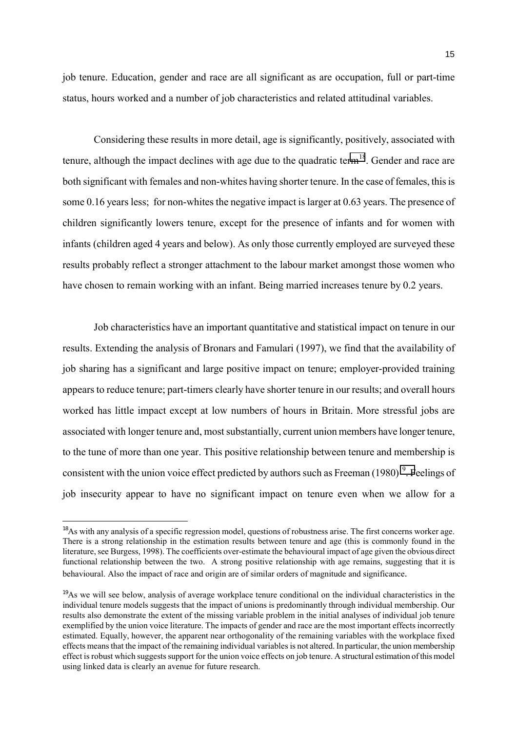15

job tenure. Education, gender and race are all significant as are occupation, full or part-time status, hours worked and a number of job characteristics and related attitudinal variables.

Considering these results in more detail, age is significantly, positively, associated with tenure, although the impact declines with age due to the quadratic term<sup>18</sup>. Gender and race are both significant with females and non-whites having shorter tenure. In the case of females, this is some 0.16 years less; for non-whites the negative impact is larger at 0.63 years. The presence of children significantly lowers tenure, except for the presence of infants and for women with infants (children aged 4 years and below). As only those currently employed are surveyed these results probably reflect a stronger attachment to the labour market amongst those women who have chosen to remain working with an infant. Being married increases tenure by 0.2 years.

Job characteristics have an important quantitative and statistical impact on tenure in our results. Extending the analysis of Bronars and Famulari (1997), we find that the availability of job sharing has a significant and large positive impact on tenure; employer-provided training appears to reduce tenure; part-timers clearly have shorter tenure in our results; and overall hours worked has little impact except at low numbers of hours in Britain. More stressful jobs are associated with longer tenure and, most substantially, current union members have longer tenure, to the tune of more than one year. This positive relationship between tenure and membership is consistent with the union voice effect predicted by authors such as Freeman  $(1980)^{19}$ . Feelings of job insecurity appear to have no significant impact on tenure even when we allow for a

<sup>&</sup>lt;sup>18</sup>As with any analysis of a specific regression model, questions of robustness arise. The first concerns worker age. There is a strong relationship in the estimation results between tenure and age (this is commonly found in the literature, see Burgess, 1998). The coefficients over-estimate the behavioural impact of age given the obvious direct functional relationship between the two. A strong positive relationship with age remains, suggesting that it is behavioural. Also the impact of race and origin are of similar orders of magnitude and significance.

<sup>&</sup>lt;sup>19</sup>As we will see below, analysis of average workplace tenure conditional on the individual characteristics in the individual tenure models suggests that the impact of unions is predominantly through individual membership. Our results also demonstrate the extent of the missing variable problem in the initial analyses of individual job tenure exemplified by the union voice literature. The impacts of gender and race are the most important effects incorrectly estimated. Equally, however, the apparent near orthogonality of the remaining variables with the workplace fixed effects means that the impact of the remaining individual variables is not altered. In particular, the union membership effect is robust which suggests support for the union voice effects on job tenure. A structural estimation of this model using linked data is clearly an avenue for future research.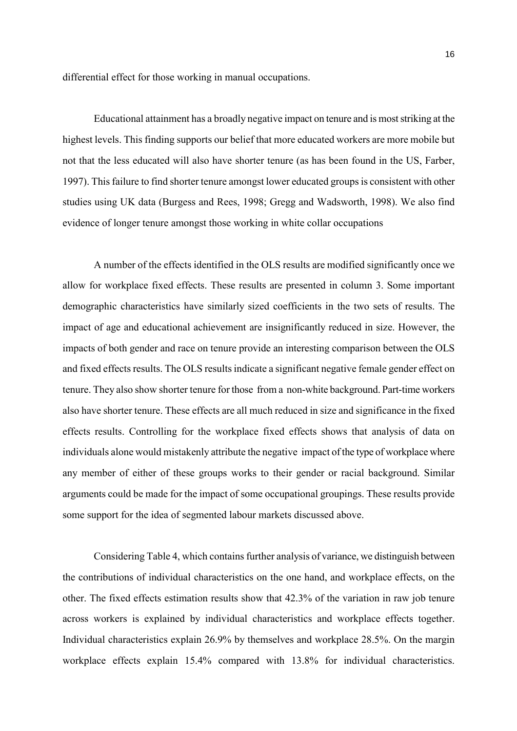differential effect for those working in manual occupations.

Educational attainment has a broadly negative impact on tenure and is most striking at the highest levels. This finding supports our belief that more educated workers are more mobile but not that the less educated will also have shorter tenure (as has been found in the US, Farber, 1997). This failure to find shorter tenure amongst lower educated groups is consistent with other studies using UK data (Burgess and Rees, 1998; Gregg and Wadsworth, 1998). We also find evidence of longer tenure amongst those working in white collar occupations

A number of the effects identified in the OLS results are modified significantly once we allow for workplace fixed effects. These results are presented in column 3. Some important demographic characteristics have similarly sized coefficients in the two sets of results. The impact of age and educational achievement are insignificantly reduced in size. However, the impacts of both gender and race on tenure provide an interesting comparison between the OLS and fixed effects results. The OLS results indicate a significant negative female gender effect on tenure. They also show shorter tenure for those from a non-white background. Part-time workers also have shorter tenure. These effects are all much reduced in size and significance in the fixed effects results. Controlling for the workplace fixed effects shows that analysis of data on individuals alone would mistakenly attribute the negative impact of the type of workplace where any member of either of these groups works to their gender or racial background. Similar arguments could be made for the impact of some occupational groupings. These results provide some support for the idea of segmented labour markets discussed above.

Considering Table 4, which contains further analysis of variance, we distinguish between the contributions of individual characteristics on the one hand, and workplace effects, on the other. The fixed effects estimation results show that 42.3% of the variation in raw job tenure across workers is explained by individual characteristics and workplace effects together. Individual characteristics explain 26.9% by themselves and workplace 28.5%. On the margin workplace effects explain 15.4% compared with 13.8% for individual characteristics.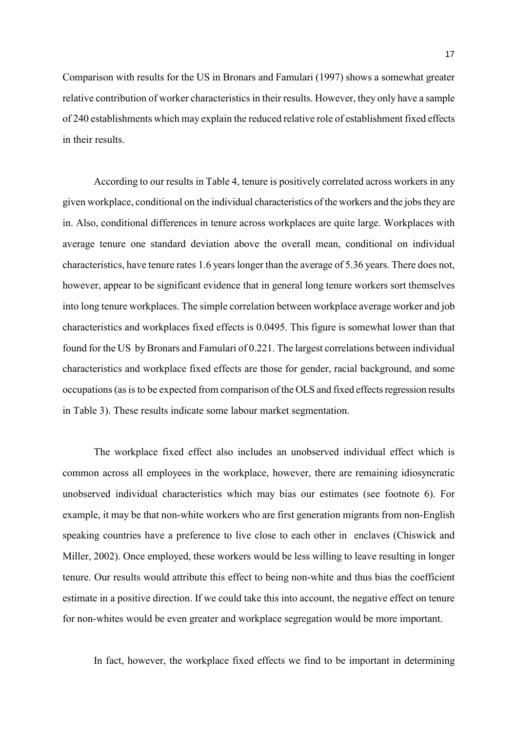Comparison with results for the US in Bronars and Famulari (1997) shows a somewhat greater relative contribution of worker characteristics in their results. However, they only have a sample of 240 establishments which may explain the reduced relative role of establishment fixed effects in their results.

According to our results in Table 4, tenure is positively correlated across workers in any given workplace, conditional on the individual characteristics of the workers and the jobs they are in. Also, conditional differences in tenure across workplaces are quite large. Workplaces with average tenure one standard deviation above the overall mean, conditional on individual characteristics, have tenure rates 1.6 years longer than the average of 5.36 years. There does not, however, appear to be significant evidence that in general long tenure workers sort themselves into long tenure workplaces. The simple correlation between workplace average worker and job characteristics and workplaces fixed effects is 0.0495. This figure is somewhat lower than that found for the US by Bronars and Famulari of 0.221. The largest correlations between individual characteristics and workplace fixed effects are those for gender, racial background, and some occupations (as is to be expected from comparison of the OLS and fixed effects regression results in Table 3). These results indicate some labour market segmentation.

The workplace fixed effect also includes an unobserved individual effect which is common across all employees in the workplace, however, there are remaining idiosyncratic unobserved individual characteristics which may bias our estimates (see footnote 6). For example, it may be that non-white workers who are first generation migrants from non-English speaking countries have a preference to live close to each other in enclaves (Chiswick and Miller, 2002). Once employed, these workers would be less willing to leave resulting in longer tenure. Our results would attribute this effect to being non-white and thus bias the coefficient estimate in a positive direction. If we could take this into account, the negative effect on tenure for non-whites would be even greater and workplace segregation would be more important.

In fact, however, the workplace fixed effects we find to be important in determining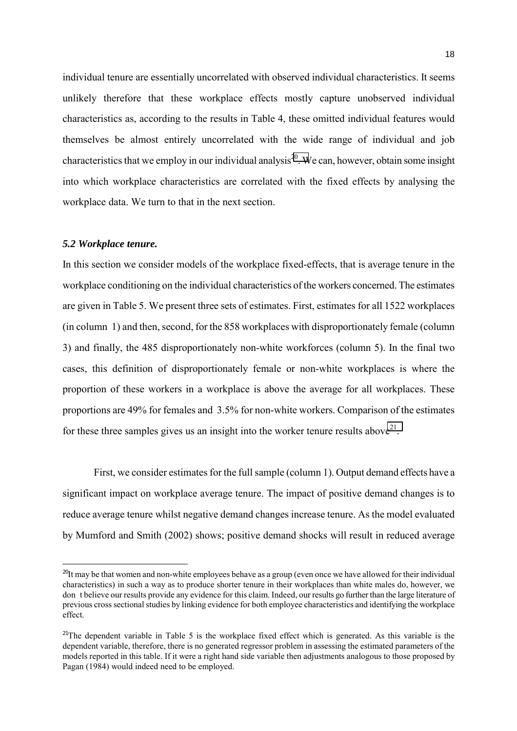individual tenure are essentially uncorrelated with observed individual characteristics. It seems unlikely therefore that these workplace effects mostly capture unobserved individual characteristics as, according to the results in Table 4, these omitted individual features would themselves be almost entirely uncorrelated with the wide range of individual and job characteristics that we employ in our individual analysis<sup>20</sup>. We can, however, obtain some insight into which workplace characteristics are correlated with the fixed effects by analysing the workplace data. We turn to that in the next section.

#### *5.2 Workplace tenure.*

i

In this section we consider models of the workplace fixed-effects, that is average tenure in the workplace conditioning on the individual characteristics of the workers concerned. The estimates are given in Table 5. We present three sets of estimates. First, estimates for all 1522 workplaces (in column 1) and then, second, for the 858 workplaces with disproportionately female (column 3) and finally, the 485 disproportionately non-white workforces (column 5). In the final two cases, this definition of disproportionately female or non-white workplaces is where the proportion of these workers in a workplace is above the average for all workplaces. These proportions are 49% for females and 3.5% for non-white workers. Comparison of the estimates for these three samples gives us an insight into the worker tenure results above<sup>21</sup>.

First, we consider estimates for the full sample (column 1). Output demand effects have a significant impact on workplace average tenure. The impact of positive demand changes is to reduce average tenure whilst negative demand changes increase tenure. As the model evaluated by Mumford and Smith (2002) shows; positive demand shocks will result in reduced average

 $^{20}$ It may be that women and non-white employees behave as a group (even once we have allowed for their individual characteristics) in such a way as to produce shorter tenure in their workplaces than white males do, however, we don t believe our results provide any evidence for this claim. Indeed, our results go further than the large literature of previous cross sectional studies by linking evidence for both employee characteristics and identifying the workplace effect.

 $21$ The dependent variable in Table 5 is the workplace fixed effect which is generated. As this variable is the dependent variable, therefore, there is no generated regressor problem in assessing the estimated parameters of the models reported in this table. If it were a right hand side variable then adjustments analogous to those proposed by Pagan (1984) would indeed need to be employed.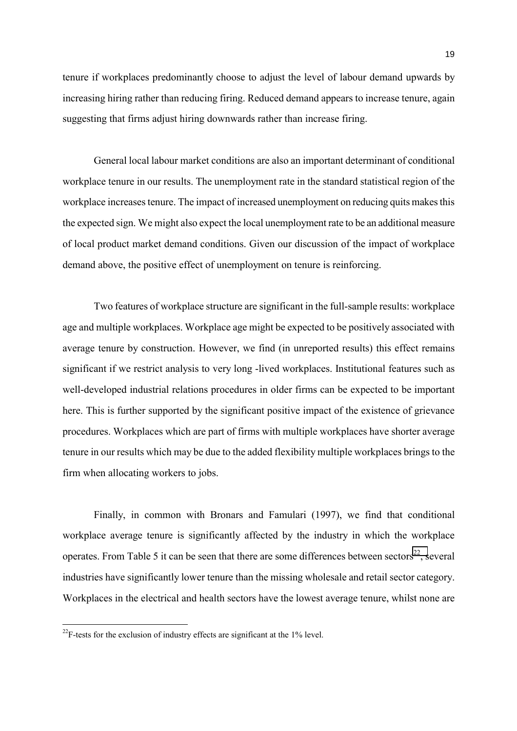tenure if workplaces predominantly choose to adjust the level of labour demand upwards by increasing hiring rather than reducing firing. Reduced demand appears to increase tenure, again suggesting that firms adjust hiring downwards rather than increase firing.

General local labour market conditions are also an important determinant of conditional workplace tenure in our results. The unemployment rate in the standard statistical region of the workplace increases tenure. The impact of increased unemployment on reducing quits makes this the expected sign. We might also expect the local unemployment rate to be an additional measure of local product market demand conditions. Given our discussion of the impact of workplace demand above, the positive effect of unemployment on tenure is reinforcing.

Two features of workplace structure are significant in the full-sample results: workplace age and multiple workplaces. Workplace age might be expected to be positively associated with average tenure by construction. However, we find (in unreported results) this effect remains significant if we restrict analysis to very long -lived workplaces. Institutional features such as well-developed industrial relations procedures in older firms can be expected to be important here. This is further supported by the significant positive impact of the existence of grievance procedures. Workplaces which are part of firms with multiple workplaces have shorter average tenure in our results which may be due to the added flexibility multiple workplaces brings to the firm when allocating workers to jobs.

Finally, in common with Bronars and Famulari (1997), we find that conditional workplace average tenure is significantly affected by the industry in which the workplace operates. From Table 5 it can be seen that there are some differences between sectors<sup>22</sup>, several industries have significantly lower tenure than the missing wholesale and retail sector category. Workplaces in the electrical and health sectors have the lowest average tenure, whilst none are

ĺ.

 $^{22}$ F-tests for the exclusion of industry effects are significant at the 1% level.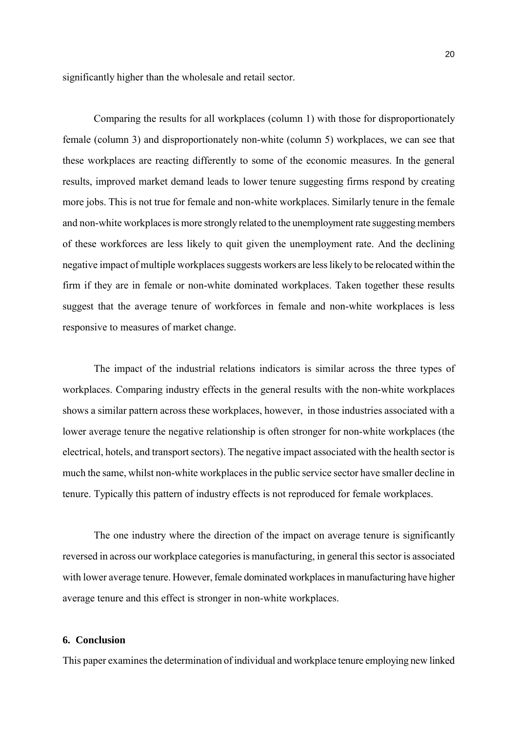significantly higher than the wholesale and retail sector.

Comparing the results for all workplaces (column 1) with those for disproportionately female (column 3) and disproportionately non-white (column 5) workplaces, we can see that these workplaces are reacting differently to some of the economic measures. In the general results, improved market demand leads to lower tenure suggesting firms respond by creating more jobs. This is not true for female and non-white workplaces. Similarly tenure in the female and non-white workplaces is more strongly related to the unemployment rate suggesting members of these workforces are less likely to quit given the unemployment rate. And the declining negative impact of multiple workplaces suggests workers are less likely to be relocated within the firm if they are in female or non-white dominated workplaces. Taken together these results suggest that the average tenure of workforces in female and non-white workplaces is less responsive to measures of market change.

The impact of the industrial relations indicators is similar across the three types of workplaces. Comparing industry effects in the general results with the non-white workplaces shows a similar pattern across these workplaces, however, in those industries associated with a lower average tenure the negative relationship is often stronger for non-white workplaces (the electrical, hotels, and transport sectors). The negative impact associated with the health sector is much the same, whilst non-white workplaces in the public service sector have smaller decline in tenure. Typically this pattern of industry effects is not reproduced for female workplaces.

The one industry where the direction of the impact on average tenure is significantly reversed in across our workplace categories is manufacturing, in general this sector is associated with lower average tenure. However, female dominated workplaces in manufacturing have higher average tenure and this effect is stronger in non-white workplaces.

#### **6. Conclusion**

This paper examines the determination of individual and workplace tenure employing new linked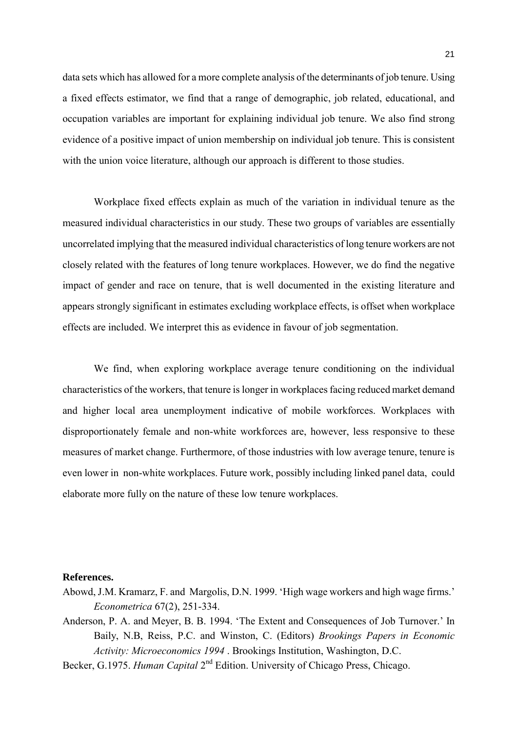data sets which has allowed for a more complete analysis of the determinants of job tenure. Using a fixed effects estimator, we find that a range of demographic, job related, educational, and occupation variables are important for explaining individual job tenure. We also find strong evidence of a positive impact of union membership on individual job tenure. This is consistent with the union voice literature, although our approach is different to those studies.

Workplace fixed effects explain as much of the variation in individual tenure as the measured individual characteristics in our study. These two groups of variables are essentially uncorrelated implying that the measured individual characteristics of long tenure workers are not closely related with the features of long tenure workplaces. However, we do find the negative impact of gender and race on tenure, that is well documented in the existing literature and appears strongly significant in estimates excluding workplace effects, is offset when workplace effects are included. We interpret this as evidence in favour of job segmentation.

We find, when exploring workplace average tenure conditioning on the individual characteristics of the workers, that tenure is longer in workplaces facing reduced market demand and higher local area unemployment indicative of mobile workforces. Workplaces with disproportionately female and non-white workforces are, however, less responsive to these measures of market change. Furthermore, of those industries with low average tenure, tenure is even lower in non-white workplaces. Future work, possibly including linked panel data, could elaborate more fully on the nature of these low tenure workplaces.

#### **References.**

Abowd, J.M. Kramarz, F. and Margolis, D.N. 1999. 'High wage workers and high wage firms.' *Econometrica* 67(2), 251-334.

Anderson, P. A. and Meyer, B. B. 1994. 'The Extent and Consequences of Job Turnover.' In Baily, N.B, Reiss, P.C. and Winston, C. (Editors) *Brookings Papers in Economic Activity: Microeconomics 1994* . Brookings Institution, Washington, D.C.

Becker, G.1975. *Human Capital* 2nd Edition. University of Chicago Press, Chicago.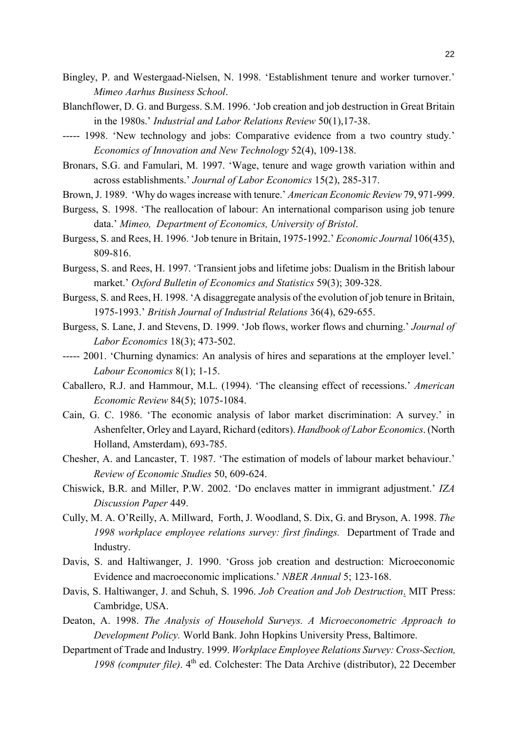- Bingley, P. and Westergaad-Nielsen, N. 1998. 'Establishment tenure and worker turnover.' *Mimeo Aarhus Business School*.
- Blanchflower, D. G. and Burgess. S.M. 1996. 'Job creation and job destruction in Great Britain in the 1980s.' *Industrial and Labor Relations Review* 50(1), 17-38.
- ----- 1998. 'New technology and jobs: Comparative evidence from a two country study.' *Economics of Innovation and New Technology* 52(4), 109-138.
- Bronars, S.G. and Famulari, M. 1997. 'Wage, tenure and wage growth variation within and across establishments.' *Journal of Labor Economics* 15(2), 285-317.
- Brown, J. 1989. Why do wages increase with tenure.' *American Economic Review* 79, 971-999.
- Burgess, S. 1998. The reallocation of labour: An international comparison using job tenure data.' Mimeo, Department of Economics, University of Bristol.
- Burgess, S. and Rees, H. 1996. 'Job tenure in Britain, 1975-1992.' *Economic Journal* 106(435), 809-816.
- Burgess, S. and Rees, H. 1997. 'Transient jobs and lifetime jobs: Dualism in the British labour market.' *Oxford Bulletin of Economics and Statistics* 59(3); 309-328.
- Burgess, S. and Rees, H. 1998. A disaggregate analysis of the evolution of job tenure in Britain, 1975-1993.í *British Journal of Industrial Relations* 36(4), 629-655.
- Burgess, S. Lane, J. and Stevens, D. 1999. 'Job flows, worker flows and churning.' *Journal of Labor Economics* 18(3); 473-502.
- ----- 2001. 'Churning dynamics: An analysis of hires and separations at the employer level.' *Labour Economics* 8(1); 1-15.
- Caballero, R.J. and Hammour, M.L. (1994). 'The cleansing effect of recessions.' *American Economic Review* 84(5); 1075-1084.
- Cain, G. C. 1986. 'The economic analysis of labor market discrimination: A survey.' in Ashenfelter, Orley and Layard, Richard (editors). *Handbook of Labor Economics*. (North Holland, Amsterdam), 693-785.
- Chesher, A. and Lancaster, T. 1987. 'The estimation of models of labour market behaviour.' *Review of Economic Studies* 50, 609-624.
- Chiswick, B.R. and Miller, P.W. 2002. 'Do enclaves matter in immigrant adjustment.' *IZA Discussion Paper* 449.
- Cully, M. A. O'Reilly, A. Millward, Forth, J. Woodland, S. Dix, G. and Bryson, A. 1998. *The 1998 workplace employee relations survey: first findings.* Department of Trade and Industry.
- Davis, S. and Haltiwanger, J. 1990. 'Gross job creation and destruction: Microeconomic Evidence and macroeconomic implications.' *NBER Annual* 5; 123-168.
- Davis, S. Haltiwanger, J. and Schuh, S. 1996. *Job Creation and Job Destruction*. MIT Press: Cambridge, USA.
- Deaton, A. 1998. *The Analysis of Household Surveys. A Microeconometric Approach to Development Policy.* World Bank. John Hopkins University Press, Baltimore.
- Department of Trade and Industry. 1999. *Workplace Employee Relations Survey: Cross-Section, 1998 (computer file)*. 4<sup>th</sup> ed. Colchester: The Data Archive (distributor), 22 December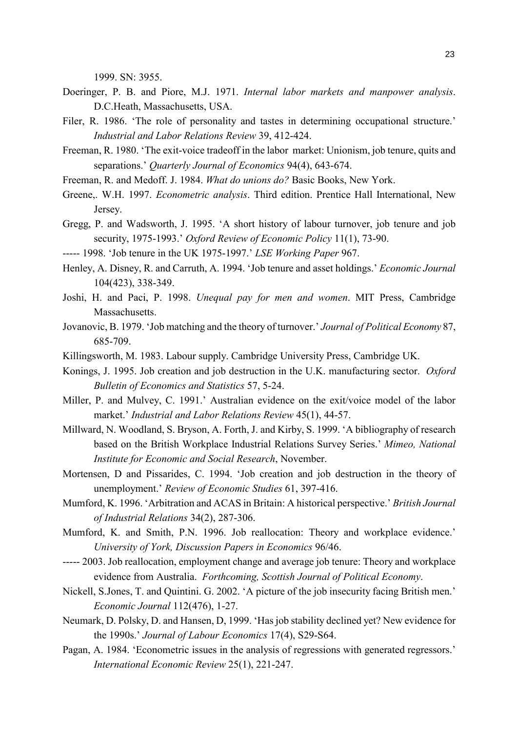1999. SN: 3955.

- Doeringer, P. B. and Piore, M.J. 1971. *Internal labor markets and manpower analysis*. D.C.Heath, Massachusetts, USA.
- Filer, R. 1986. 'The role of personality and tastes in determining occupational structure.' *Industrial and Labor Relations Review* 39, 412-424.
- Freeman, R. 1980. 'The exit-voice tradeoff in the labor market: Unionism, job tenure, quits and separations.' *Quarterly Journal of Economics* 94(4), 643-674.
- Freeman, R. and Medoff. J. 1984. *What do unions do?* Basic Books, New York.
- Greene,. W.H. 1997. *Econometric analysis*. Third edition. Prentice Hall International, New Jersey.
- Gregg, P. and Wadsworth, J. 1995. ëA short history of labour turnover, job tenure and job security, 1975-1993.' *Oxford Review of Economic Policy* 11(1), 73-90.
- ----- 1998. 'Job tenure in the UK 1975-1997.' *LSE Working Paper* 967.
- Henley, A. Disney, R. and Carruth, A. 1994. 'Job tenure and asset holdings.' *Economic Journal* 104(423), 338-349.
- Joshi, H. and Paci, P. 1998. *Unequal pay for men and women*. MIT Press, Cambridge Massachusetts.
- Jovanovic, B. 1979. 'Job matching and the theory of turnover.' *Journal of Political Economy* 87, 685-709.
- Killingsworth, M. 1983. Labour supply. Cambridge University Press, Cambridge UK.
- Konings, J. 1995. Job creation and job destruction in the U.K. manufacturing sector. *Oxford Bulletin of Economics and Statistics* 57, 5-24.
- Miller, P. and Mulvey, C. 1991.' Australian evidence on the exit/voice model of the labor market.' *Industrial and Labor Relations Review* 45(1), 44-57.
- Millward, N. Woodland, S. Bryson, A. Forth, J. and Kirby, S. 1999. A bibliography of research based on the British Workplace Industrial Relations Survey Series.<sup>*Nimeo, National n*</sup> *Institute for Economic and Social Research*, November.
- Mortensen, D and Pissarides, C. 1994. 'Job creation and job destruction in the theory of unemployment.' *Review of Economic Studies* 61, 397-416.
- Mumford, K. 1996. 'Arbitration and ACAS in Britain: A historical perspective.' *British Journal of Industrial Relations* 34(2), 287-306.
- Mumford, K. and Smith, P.N. 1996. Job reallocation: Theory and workplace evidence. *University of York, Discussion Papers in Economics* 96/46.
- ----- 2003. Job reallocation, employment change and average job tenure: Theory and workplace evidence from Australia. *Forthcoming, Scottish Journal of Political Economy*.
- Nickell, S.Jones, T. and Quintini. G. 2002. A picture of the job insecurity facing British men. *Economic Journal* 112(476), 1-27.
- Neumark, D. Polsky, D. and Hansen, D. 1999. 'Has job stability declined yet? New evidence for the 1990s.' *Journal of Labour Economics* 17(4), S29-S64.
- Pagan, A. 1984. 'Econometric issues in the analysis of regressions with generated regressors.' *International Economic Review* 25(1), 221-247.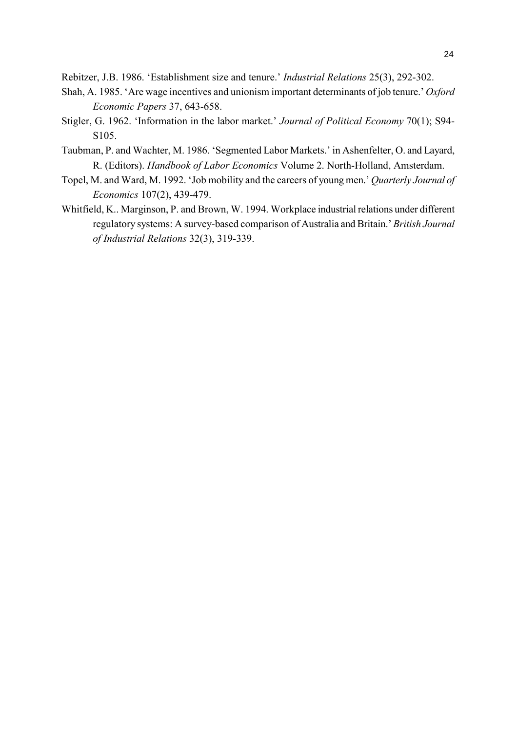Rebitzer, J.B. 1986. 'Establishment size and tenure.' *Industrial Relations* 25(3), 292-302.

- Shah, A. 1985. Are wage incentives and unionism important determinants of job tenure.<sup>7</sup> *Oxford Economic Papers* 37, 643-658.
- Stigler, G. 1962. 'Information in the labor market.' *Journal of Political Economy* 70(1); S94-S105.
- Taubman, P. and Wachter, M. 1986. 'Segmented Labor Markets.' in Ashenfelter, O. and Layard, R. (Editors). *Handbook of Labor Economics* Volume 2. North-Holland, Amsterdam.
- Topel, M. and Ward, M. 1992. 'Job mobility and the careers of young men.' *Quarterly Journal of Economics* 107(2), 439-479.
- Whitfield, K.. Marginson, P. and Brown, W. 1994. Workplace industrial relations under different regulatory systems: A survey-based comparison of Australia and Britain.' *British Journal of Industrial Relations* 32(3), 319-339.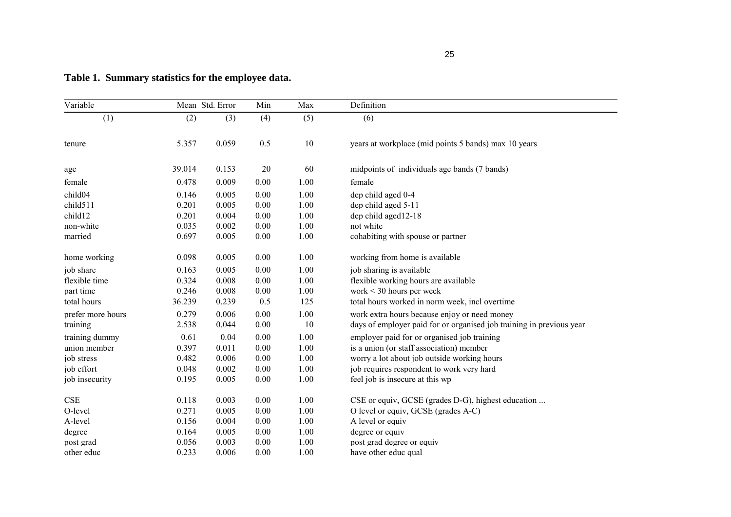| Variable          |        | Mean Std. Error | Min      | Max  | Definition                                                           |  |  |
|-------------------|--------|-----------------|----------|------|----------------------------------------------------------------------|--|--|
| (1)               | (2)    | (3)             | (4)      | (5)  | (6)                                                                  |  |  |
| tenure            | 5.357  | 0.059           | 0.5      | 10   | years at workplace (mid points 5 bands) max 10 years                 |  |  |
| age               | 39.014 | 0.153           | 20       | 60   | midpoints of individuals age bands (7 bands)                         |  |  |
| female            | 0.478  | 0.009           | 0.00     | 1.00 | female                                                               |  |  |
| child04           | 0.146  | 0.005           | 0.00     | 1.00 | dep child aged 0-4                                                   |  |  |
| child511          | 0.201  | 0.005           | 0.00     | 1.00 | dep child aged 5-11                                                  |  |  |
| child12           | 0.201  | 0.004           | 0.00     | 1.00 | dep child aged12-18                                                  |  |  |
| non-white         | 0.035  | 0.002           | $0.00\,$ | 1.00 | not white                                                            |  |  |
| married           | 0.697  | 0.005           | 0.00     | 1.00 | cohabiting with spouse or partner                                    |  |  |
| home working      | 0.098  | 0.005           | 0.00     | 1.00 | working from home is available                                       |  |  |
| job share         | 0.163  | 0.005           | 0.00     | 1.00 | job sharing is available                                             |  |  |
| flexible time     | 0.324  | 0.008           | 0.00     | 1.00 | flexible working hours are available                                 |  |  |
| part time         | 0.246  | 0.008           | 0.00     | 1.00 | work $\leq$ 30 hours per week                                        |  |  |
| total hours       | 36.239 | 0.239           | 0.5      | 125  | total hours worked in norm week, incl overtime                       |  |  |
| prefer more hours | 0.279  | 0.006           | 0.00     | 1.00 | work extra hours because enjoy or need money                         |  |  |
| training          | 2.538  | 0.044           | 0.00     | 10   | days of employer paid for or organised job training in previous year |  |  |
| training dummy    | 0.61   | 0.04            | 0.00     | 1.00 | employer paid for or organised job training                          |  |  |
| union member      | 0.397  | 0.011           | 0.00     | 1.00 | is a union (or staff association) member                             |  |  |
| job stress        | 0.482  | 0.006           | 0.00     | 1.00 | worry a lot about job outside working hours                          |  |  |
| job effort        | 0.048  | 0.002           | 0.00     | 1.00 | job requires respondent to work very hard                            |  |  |
| job insecurity    | 0.195  | 0.005           | 0.00     | 1.00 | feel job is insecure at this wp                                      |  |  |
| <b>CSE</b>        | 0.118  | 0.003           | 0.00     | 1.00 | CSE or equiv, GCSE (grades D-G), highest education                   |  |  |
| O-level           | 0.271  | 0.005           | 0.00     | 1.00 | O level or equiv, GCSE (grades A-C)                                  |  |  |
| A-level           | 0.156  | 0.004           | 0.00     | 1.00 | A level or equiv                                                     |  |  |
| degree            | 0.164  | 0.005           | 0.00     | 1.00 | degree or equiv                                                      |  |  |
| post grad         | 0.056  | 0.003           | 0.00     | 1.00 | post grad degree or equiv                                            |  |  |
| other educ        | 0.233  | 0.006           | 0.00     | 1.00 | have other educ qual                                                 |  |  |

# **Table 1. Summary statistics for the employee data.**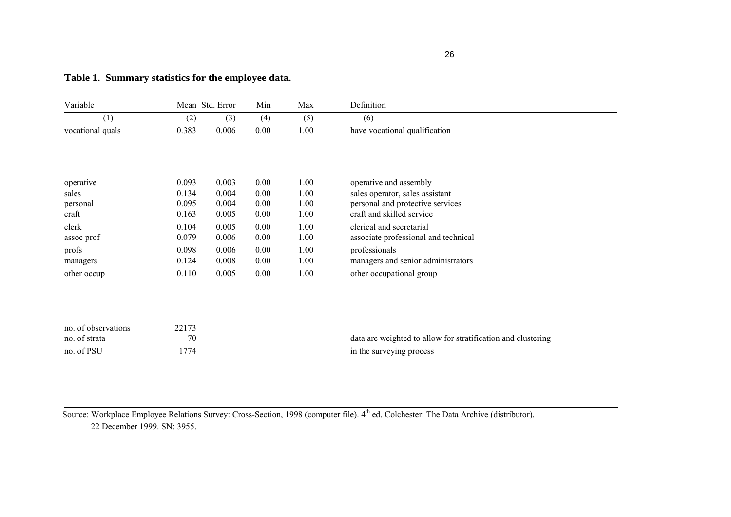| ٠<br>ï  |  |
|---------|--|
| ×<br>۰. |  |

| Variable            |       | Mean Std. Error | Min  | Max  | Definition                                                   |
|---------------------|-------|-----------------|------|------|--------------------------------------------------------------|
| (1)                 | (2)   | (3)             | (4)  | (5)  | (6)                                                          |
| vocational quals    | 0.383 | 0.006           | 0.00 | 1.00 | have vocational qualification                                |
|                     |       |                 |      |      |                                                              |
| operative           | 0.093 | 0.003           | 0.00 | 1.00 | operative and assembly                                       |
| sales               | 0.134 | 0.004           | 0.00 | 1.00 | sales operator, sales assistant                              |
| personal            | 0.095 | 0.004           | 0.00 | 1.00 | personal and protective services                             |
| craft               | 0.163 | 0.005           | 0.00 | 1.00 | craft and skilled service                                    |
| clerk               | 0.104 | 0.005           | 0.00 | 1.00 | clerical and secretarial                                     |
| assoc prof          | 0.079 | 0.006           | 0.00 | 1.00 | associate professional and technical                         |
| profs               | 0.098 | 0.006           | 0.00 | 1.00 | professionals                                                |
| managers            | 0.124 | 0.008           | 0.00 | 1.00 | managers and senior administrators                           |
| other occup         | 0.110 | 0.005           | 0.00 | 1.00 | other occupational group                                     |
|                     |       |                 |      |      |                                                              |
| no. of observations | 22173 |                 |      |      |                                                              |
| no. of strata       | 70    |                 |      |      | data are weighted to allow for stratification and clustering |
| no. of PSU          | 1774  |                 |      |      | in the surveying process                                     |

# **Table 1. Summary statistics for the employee data.**

Source: Workplace Employee Relations Survey: Cross-Section, 1998 (computer file). 4<sup>th</sup> ed. Colchester: The Data Archive (distributor), 22 December 1999. SN: 3955.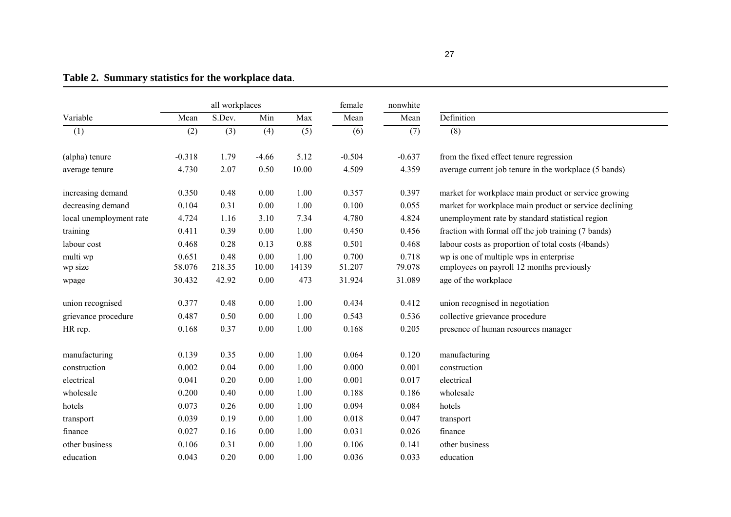all workplaces female nonwhite Variable Mean S.Dev. Min Max Mean MeanMean Definition (1) (2) (3) (4) (5) (6) (7) (8) (alpha) tenure  $-0.318$   $1.79$   $-4.66$   $5.12$   $-0.504$   $-0.637$  from the fixed effect tenure regression average tenure 4.730 2.07 0.50 10.00 4.509 4.359 average current job tenure in the workplace (5 bands) increasing demand 0.350 0.48 0.00 1.00 0.357 0.397 market for workplace main product or service growing decreasing demand  $0.104$   $0.31$   $0.00$   $1.00$   $0.100$   $0.055$  market for workplace main product or service declining local unemployment rate 4.724 1.16 3.10 7.34 4.780 4.824 unemployment rate by standard statistical region training 0.411 0.39 0.00 1.00 0.450 0.456 fraction with formal off the job training (7 bands) labour cost  $0.468$   $0.28$   $0.13$   $0.88$   $0.501$   $0.468$  labour costs as proportion of total costs (4bands) multi wp 0.651 0.48 0.00 1.00 0.700 0.718 wp is one of multiple wps in enterprise wp size 58.076 218.35 10.00 14139 51.207 79.078 employees on payroll 12 months previously wpage 30.432 42.92 0.00 473 31.924 31.089 age of the workplace union recognised  $0.377$   $0.48$   $0.00$   $1.00$   $0.434$   $0.412$  union recognised in negotiation grievance procedure 0.487 0.50 0.00 1.00 0.543 0.536 collective grievance procedure HR rep. 0.168 0.37 0.00 1.00 0.168 0.205 presence of human resources manager manufacturing 0.139 0.35 0.00 1.00 0.064 0.120 manufacturing construction 0.002 0.04 0.00 1.00 0.000 0.001 construction electrical 0.041 0.20 0.00 1.00 0.001 0.017 electrical wholesale 0.200 0.40 0.00 1.00 0.188 0.186 wholesale hotels 0.073 0.26 0.00 1.00 0.094 0.084 hotels transport 0.039 0.19 0.00 1.00 0.018 0.047 transport finance 0.027 0.16 0.00 1.00 0.031 0.026 finance other business 0.106 0.31 0.00 1.00 0.106 0.141 other business

education 0.043 0.20 0.00 1.00 0.036 0.033 education

# **Table 2. Summary statistics for the workplace data**.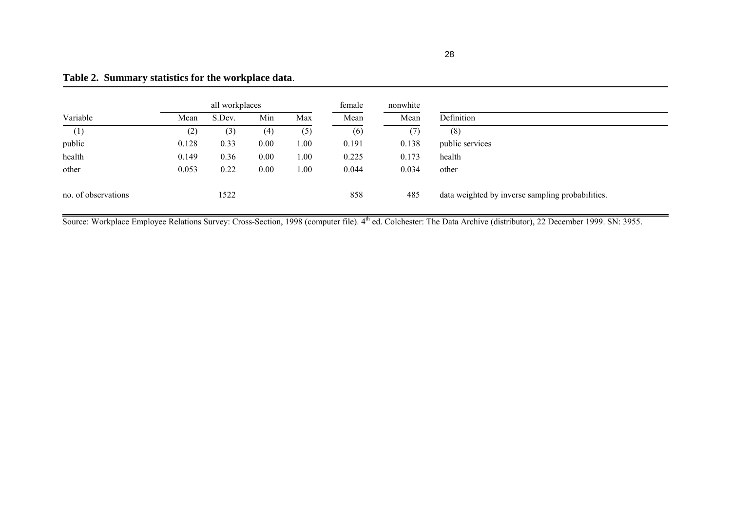|                     |       | all workplaces |      |      |       | nonwhite |                                                  |  |
|---------------------|-------|----------------|------|------|-------|----------|--------------------------------------------------|--|
| Variable            | Mean  | S.Dev.         | Min  | Max  | Mean  | Mean     | Definition                                       |  |
| (1)                 | (2)   | (3)            | (4)  | (5)  | (6)   | (7)      | (8)                                              |  |
| public              | 0.128 | 0.33           | 0.00 | 1.00 | 0.191 | 0.138    | public services                                  |  |
| health              | 0.149 | 0.36           | 0.00 | 1.00 | 0.225 | 0.173    | health                                           |  |
| other               | 0.053 | 0.22           | 0.00 | 1.00 | 0.044 | 0.034    | other                                            |  |
| no. of observations |       | 1522           |      |      | 858   | 485      | data weighted by inverse sampling probabilities. |  |

# **Table 2. Summary statistics for the workplace data**.

Source: Workplace Employee Relations Survey: Cross-Section, 1998 (computer file). 4<sup>th</sup> ed. Colchester: The Data Archive (distributor), 22 December 1999. SN: 3955.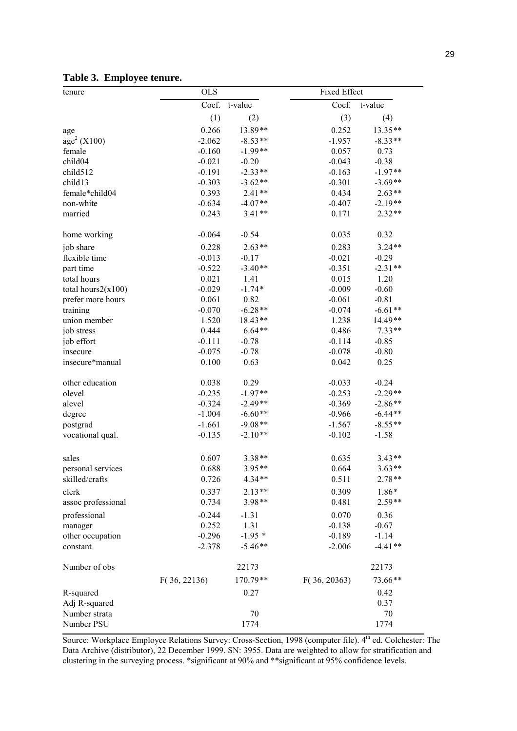| tenure                  | <b>OLS</b>   |           |              | <b>Fixed Effect</b> |  |  |  |
|-------------------------|--------------|-----------|--------------|---------------------|--|--|--|
|                         | Coef.        | t-value   | Coef.        | t-value             |  |  |  |
|                         | (1)          | (2)       | (3)          | (4)                 |  |  |  |
| age                     | 0.266        | 13.89**   | 0.252        | 13.35**             |  |  |  |
| age <sup>2</sup> (X100) | $-2.062$     | $-8.53**$ | $-1.957$     | $-8.33**$           |  |  |  |
| female                  | $-0.160$     | $-1.99**$ | 0.057        | 0.73                |  |  |  |
| child04                 | $-0.021$     | $-0.20$   | $-0.043$     | $-0.38$             |  |  |  |
| child512                | $-0.191$     | $-2.33**$ | $-0.163$     | $-1.97**$           |  |  |  |
| child13                 | $-0.303$     | $-3.62**$ | $-0.301$     | $-3.69**$           |  |  |  |
| female*child04          | 0.393        | $2.41**$  | 0.434        | $2.63**$            |  |  |  |
| non-white               | $-0.634$     | $-4.07**$ | $-0.407$     | $-2.19**$           |  |  |  |
| married                 | 0.243        | $3.41**$  | 0.171        | $2.32**$            |  |  |  |
| home working            | $-0.064$     | $-0.54$   | 0.035        | 0.32                |  |  |  |
| job share               | 0.228        | $2.63**$  | 0.283        | $3.24**$            |  |  |  |
| flexible time           | $-0.013$     | $-0.17$   | $-0.021$     | $-0.29$             |  |  |  |
| part time               | $-0.522$     | $-3.40**$ | $-0.351$     | $-2.31**$           |  |  |  |
| total hours             | 0.021        | 1.41      | 0.015        | 1.20                |  |  |  |
| total hours $2(x100)$   | $-0.029$     | $-1.74*$  | $-0.009$     | $-0.60$             |  |  |  |
| prefer more hours       | 0.061        | 0.82      | $-0.061$     | $-0.81$             |  |  |  |
| training                | $-0.070$     | $-6.28**$ | $-0.074$     | $-6.61**$           |  |  |  |
| union member            | 1.520        | $18.43**$ | 1.238        | 14.49**             |  |  |  |
| job stress              | 0.444        | $6.64**$  | 0.486        | $7.33**$            |  |  |  |
| job effort              | $-0.111$     | $-0.78$   | $-0.114$     | $-0.85$             |  |  |  |
| insecure                | $-0.075$     | $-0.78$   | $-0.078$     | $-0.80$             |  |  |  |
| insecure*manual         | 0.100        | 0.63      | 0.042        | 0.25                |  |  |  |
| other education         | 0.038        | 0.29      | $-0.033$     | $-0.24$             |  |  |  |
| olevel                  | $-0.235$     | $-1.97**$ | $-0.253$     | $-2.29**$           |  |  |  |
| alevel                  | $-0.324$     | $-2.49**$ | $-0.369$     | $-2.86**$           |  |  |  |
| degree                  | $-1.004$     | $-6.60**$ | $-0.966$     | $-6.44**$           |  |  |  |
| postgrad                | $-1.661$     | $-9.08**$ | $-1.567$     | $-8.55**$           |  |  |  |
| vocational qual.        | $-0.135$     | $-2.10**$ | $-0.102$     | $-1.58$             |  |  |  |
| sales                   | 0.607        | $3.38**$  | 0.635        | $3.43**$            |  |  |  |
| personal services       | 0.688        | $3.95**$  | 0.664        | $3.63**$            |  |  |  |
| skilled/crafts          | 0.726        | $4.34**$  | 0.511        | $2.78**$            |  |  |  |
| clerk                   | 0.337        | $2.13**$  | 0.309        | 1.86*               |  |  |  |
| assoc professional      | 0.734        | $3.98**$  | 0.481        | $2.59**$            |  |  |  |
| professional            | $-0.244$     | $-1.31$   | 0.070        | 0.36                |  |  |  |
| manager                 | 0.252        | 1.31      | $-0.138$     | $-0.67$             |  |  |  |
| other occupation        | $-0.296$     | $-1.95*$  | $-0.189$     | $-1.14$             |  |  |  |
| constant                | $-2.378$     | $-5.46**$ | $-2.006$     | $-4.41**$           |  |  |  |
| Number of obs           |              | 22173     |              | 22173               |  |  |  |
|                         | F(36, 22136) | 170.79**  | F(36, 20363) | 73.66**             |  |  |  |
| R-squared               |              | 0.27      |              | 0.42                |  |  |  |
| Adj R-squared           |              |           |              | 0.37                |  |  |  |
| Number strata           |              | 70        |              | 70                  |  |  |  |
| Number PSU              |              | 1774      |              | 1774                |  |  |  |
|                         |              |           |              |                     |  |  |  |

# **Table 3. Employee tenure.**

Source: Workplace Employee Relations Survey: Cross-Section, 1998 (computer file). 4<sup>th</sup> ed. Colchester: The Data Archive (distributor), 22 December 1999. SN: 3955. Data are weighted to allow for stratification and clustering in the surveying process. \*significant at 90% and \*\*significant at 95% confidence levels.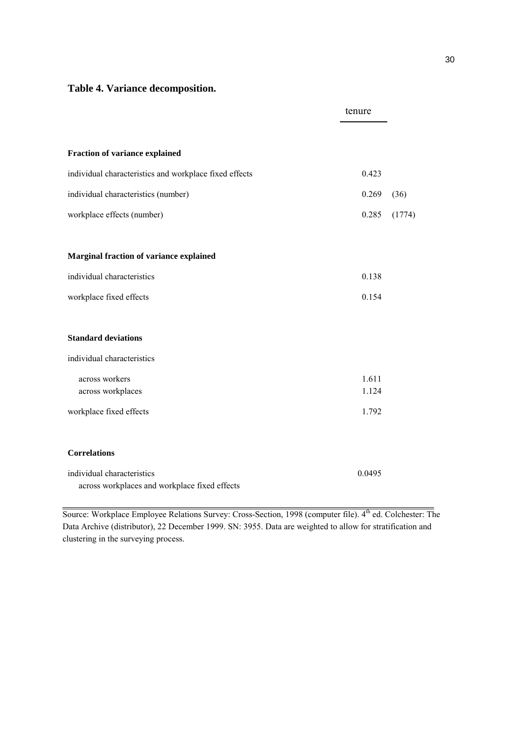# **Table 4. Variance decomposition.**

|                                                                             | tenure         |        |
|-----------------------------------------------------------------------------|----------------|--------|
|                                                                             |                |        |
| <b>Fraction of variance explained</b>                                       |                |        |
| individual characteristics and workplace fixed effects                      | 0.423          |        |
| individual characteristics (number)                                         | 0.269          | (36)   |
| workplace effects (number)                                                  | 0.285          | (1774) |
|                                                                             |                |        |
| <b>Marginal fraction of variance explained</b>                              |                |        |
| individual characteristics                                                  | 0.138          |        |
| workplace fixed effects                                                     | 0.154          |        |
| <b>Standard deviations</b>                                                  |                |        |
| individual characteristics                                                  |                |        |
| across workers<br>across workplaces                                         | 1.611<br>1.124 |        |
| workplace fixed effects                                                     | 1.792          |        |
| <b>Correlations</b>                                                         |                |        |
| individual characteristics<br>across workplaces and workplace fixed effects | 0.0495         |        |

Source: Workplace Employee Relations Survey: Cross-Section, 1998 (computer file). 4<sup>th</sup> ed. Colchester: The Data Archive (distributor), 22 December 1999. SN: 3955. Data are weighted to allow for stratification and clustering in the surveying process.